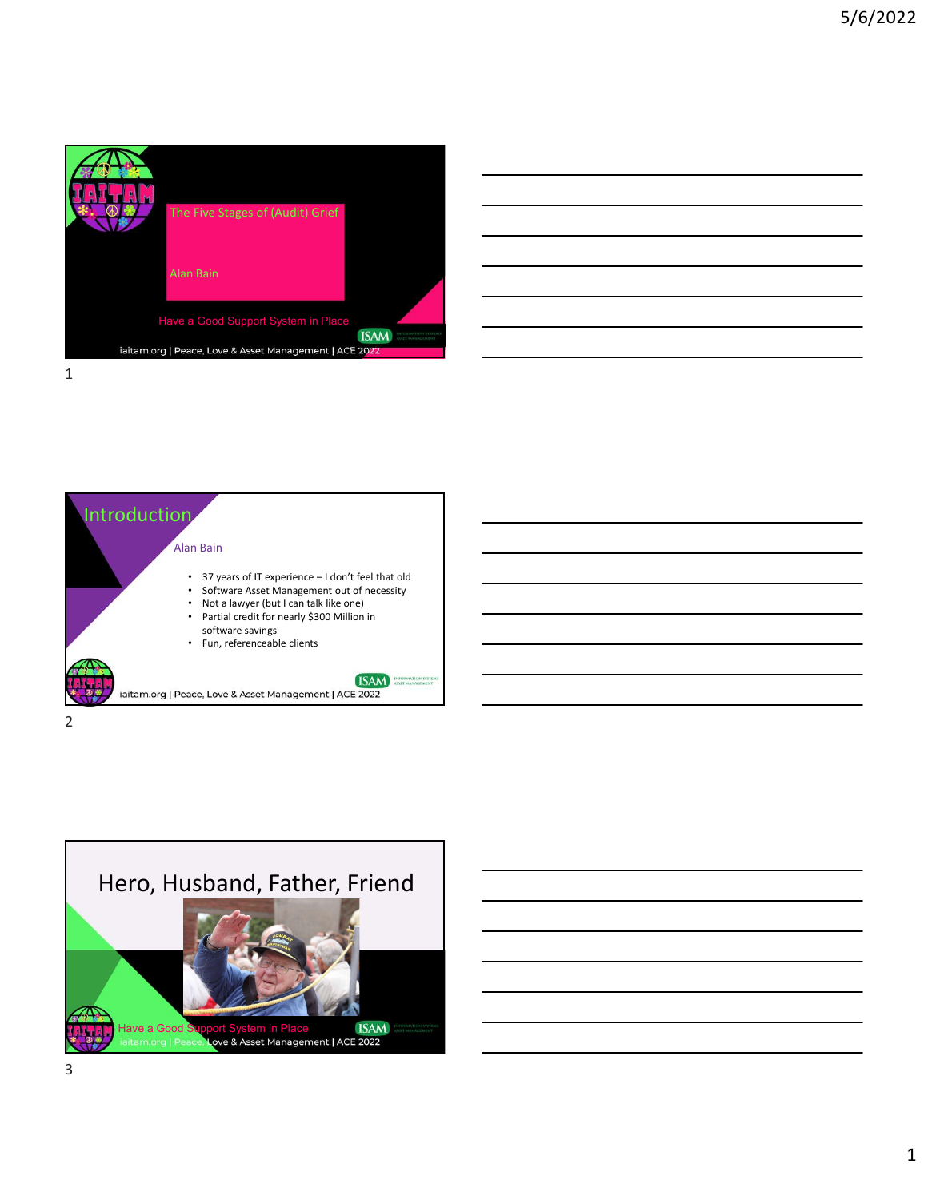

| <u> 1989 - Johann Barn, amerikan bernama di sebagai bernama dan bernama di sebagai bernama dalam bernama dalam b</u>  |  |                          |
|-----------------------------------------------------------------------------------------------------------------------|--|--------------------------|
| <u> 1989 - Johann Barn, amerikan personal (h. 1989)</u>                                                               |  |                          |
| <u> 1989 - Johann Barn, amerikan bernama di sebagai bernama di sebagai bernama di sebagai bernama di sebagai ber</u>  |  | $\overline{\phantom{a}}$ |
| <u> 1989 - Jan Samuel Barbara, margaret eta biztanleria (h. 1989).</u>                                                |  |                          |
| <u> 1989 - Johann Harry Harry Harry Harry Harry Harry Harry Harry Harry Harry Harry Harry Harry Harry Harry Harry</u> |  |                          |
|                                                                                                                       |  |                          |



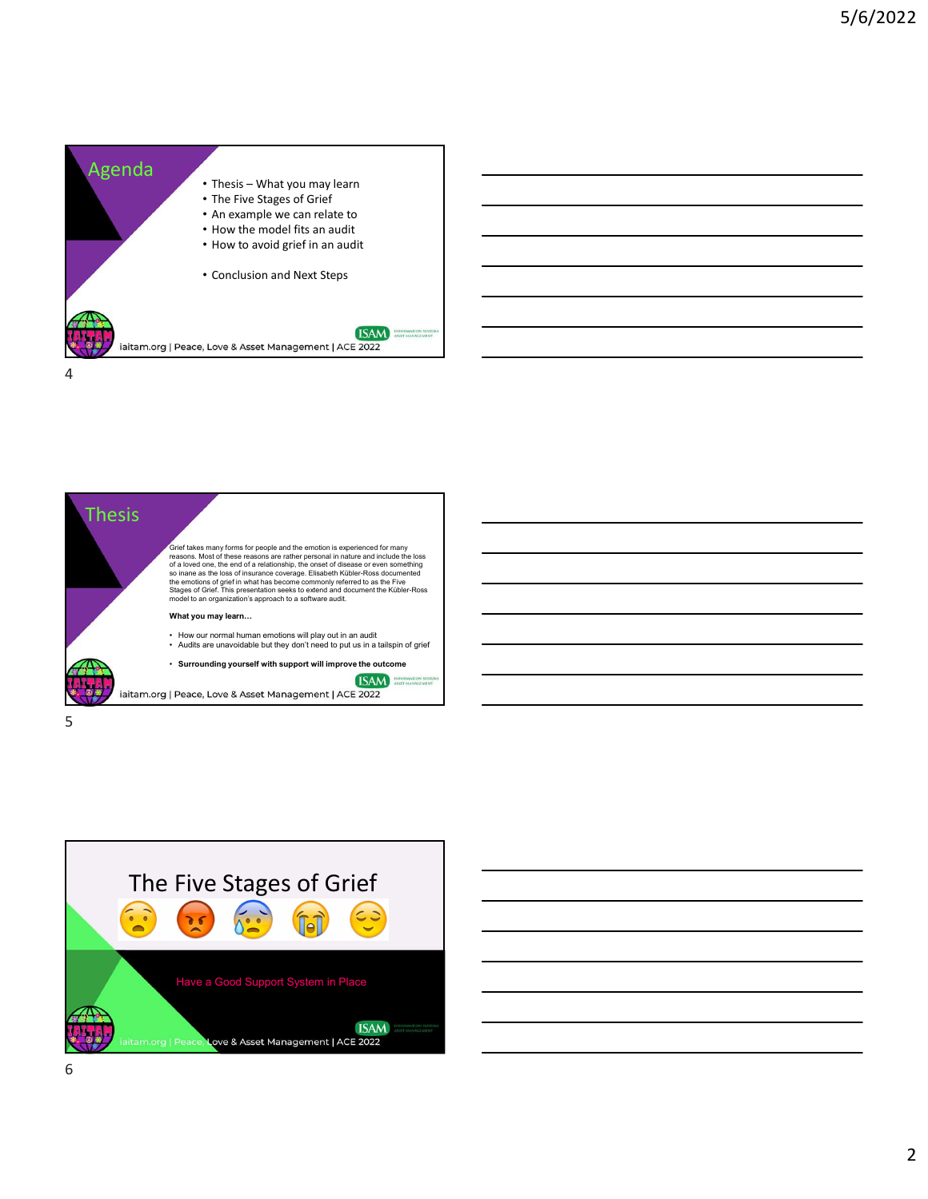





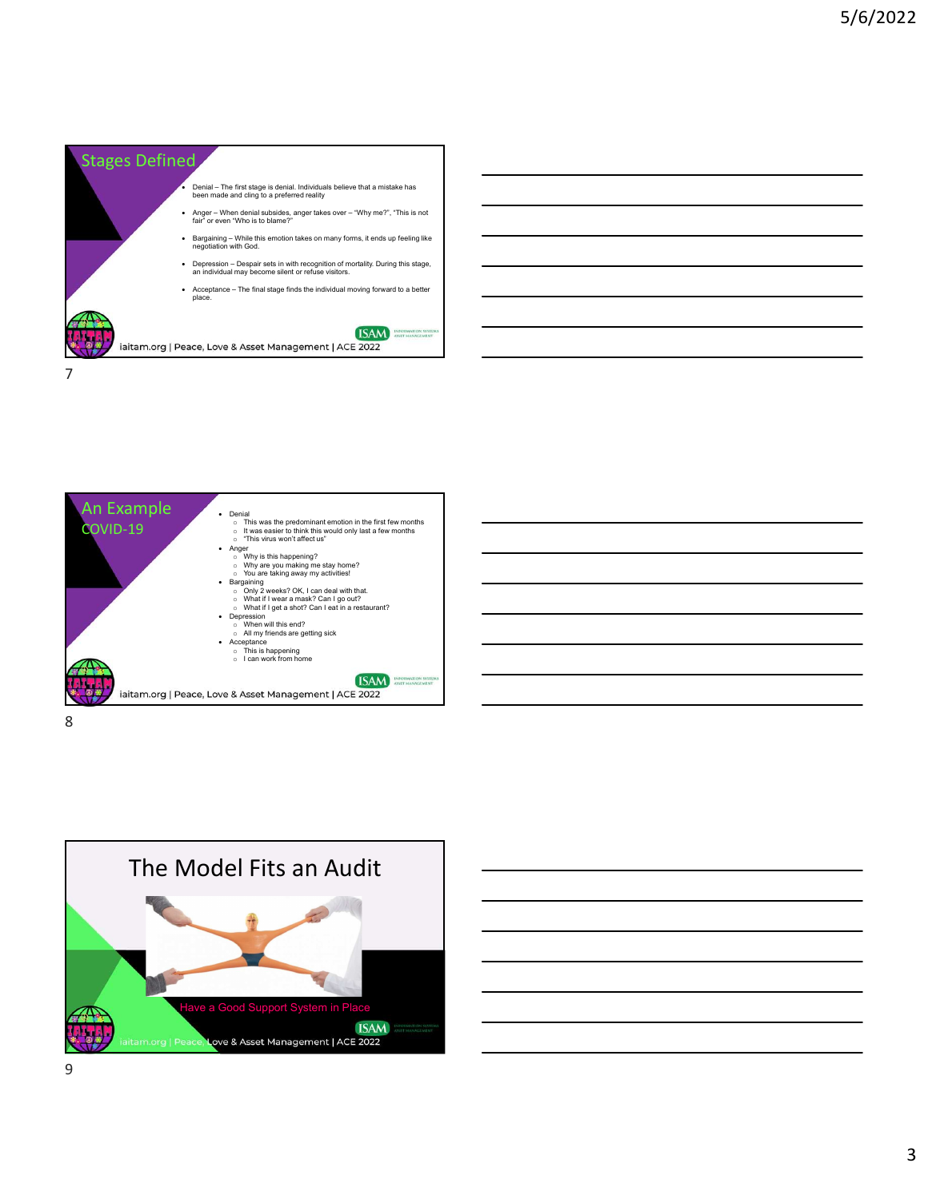





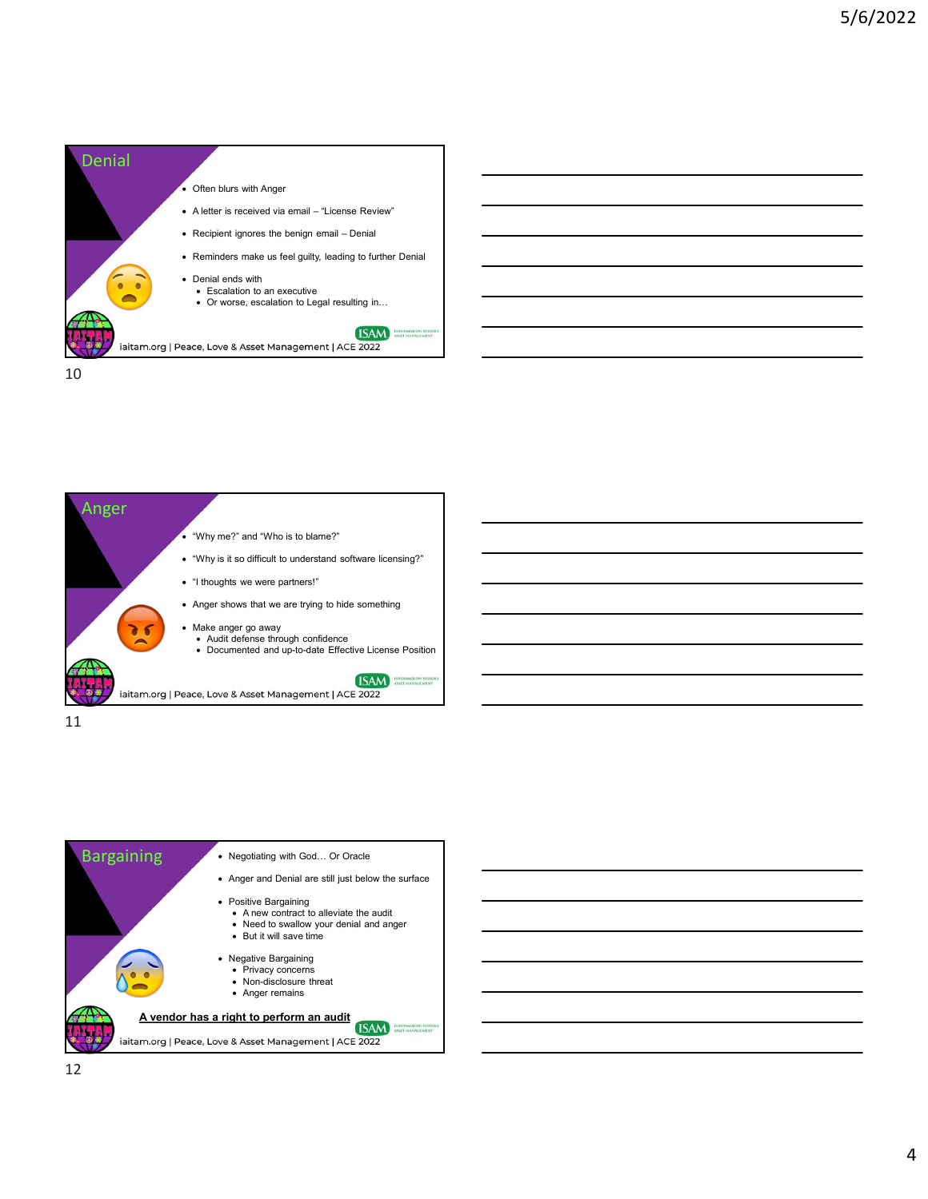





11



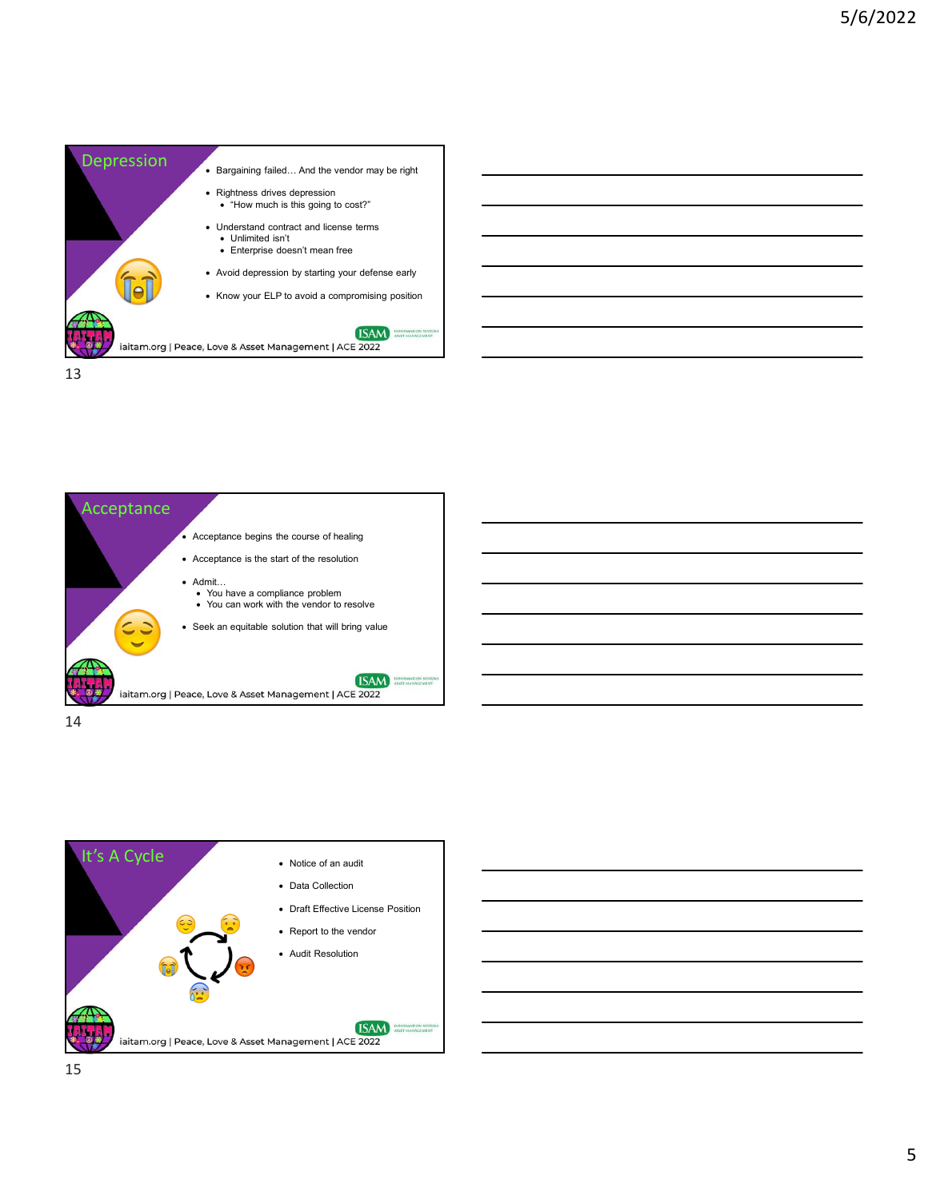









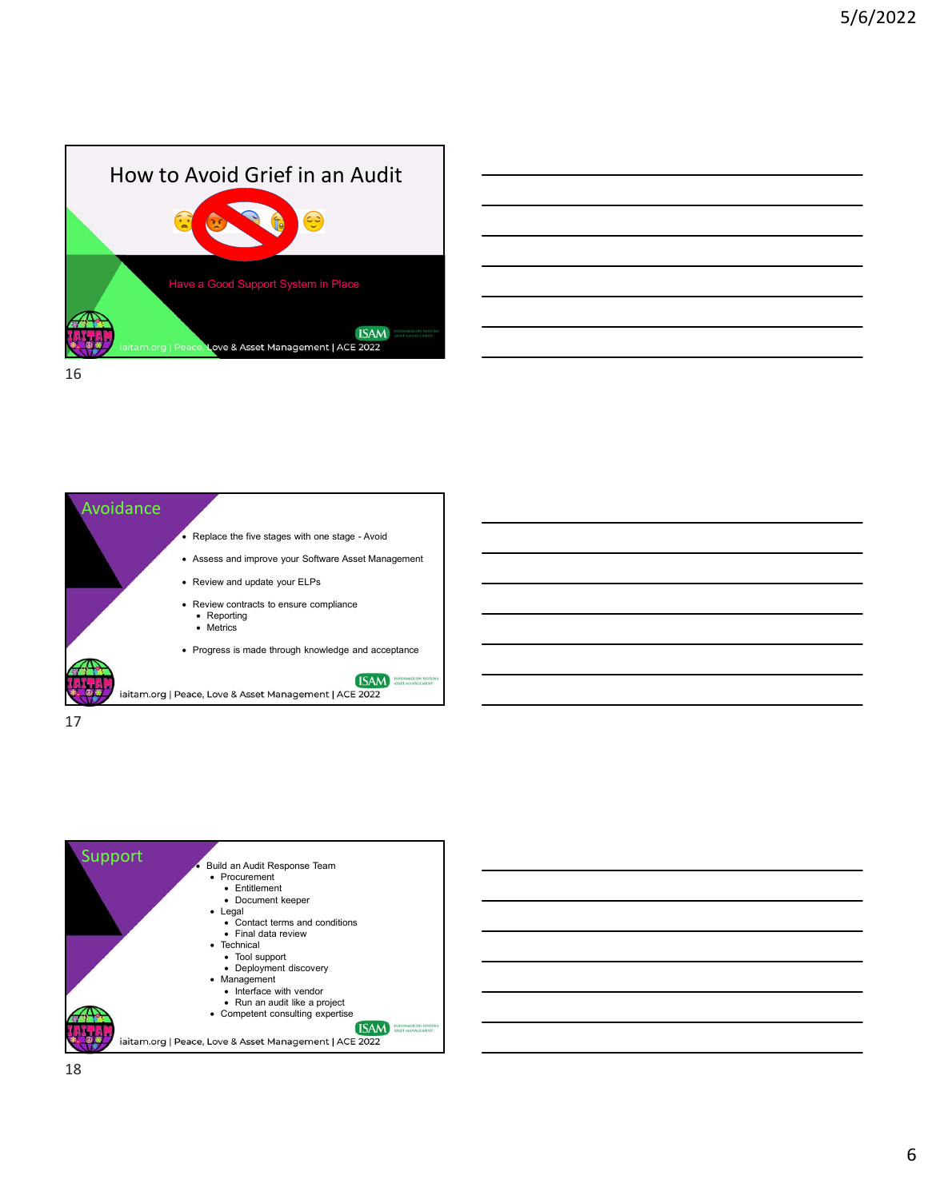





17



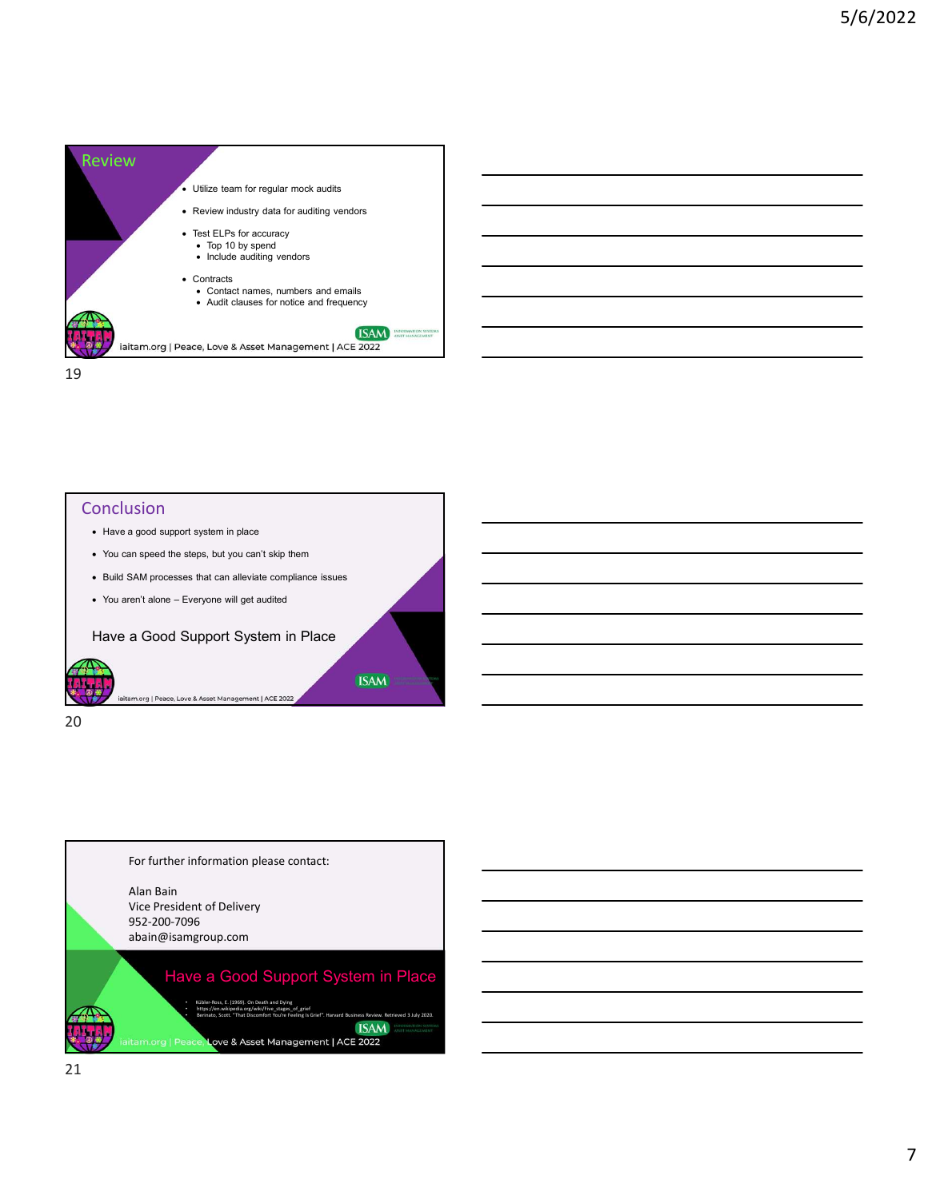



## **Conclusion**

- Have a good support system in place
- You can speed the steps, but you can't skip them
- Build SAM processes that can alleviate compliance issues
- 

Have a Good Support System in Place

20